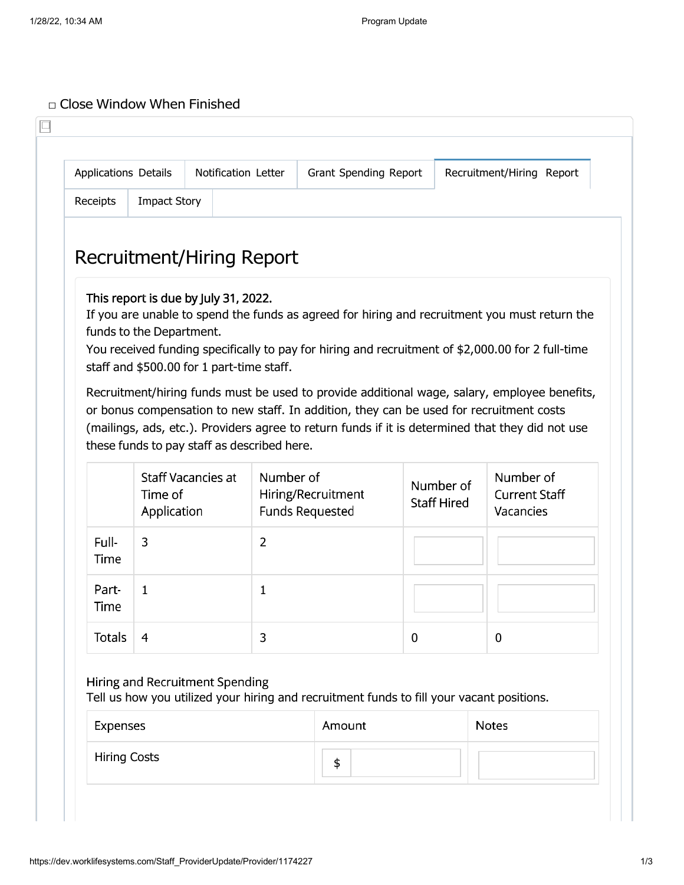## □ Close Window When Finished

| <b>Applications Details</b> |                          | <b>Notification Letter</b>                                                        |                | Grant Spending Report                                                                                                                                                                                                                                                                                                                                                                         |          |                                 | Recruitment/Hiring Report                      |  |
|-----------------------------|--------------------------|-----------------------------------------------------------------------------------|----------------|-----------------------------------------------------------------------------------------------------------------------------------------------------------------------------------------------------------------------------------------------------------------------------------------------------------------------------------------------------------------------------------------------|----------|---------------------------------|------------------------------------------------|--|
| Receipts                    | <b>Impact Story</b>      |                                                                                   |                |                                                                                                                                                                                                                                                                                                                                                                                               |          |                                 |                                                |  |
|                             |                          | Recruitment/Hiring Report                                                         |                |                                                                                                                                                                                                                                                                                                                                                                                               |          |                                 |                                                |  |
|                             | funds to the Department. | This report is due by July 31, 2022.<br>staff and \$500.00 for 1 part-time staff. |                | If you are unable to spend the funds as agreed for hiring and recruitment you must return the<br>You received funding specifically to pay for hiring and recruitment of \$2,000.00 for 2 full-time<br>Recruitment/hiring funds must be used to provide additional wage, salary, employee benefits,<br>or bonus compensation to new staff. In addition, they can be used for recruitment costs |          |                                 |                                                |  |
|                             |                          | these funds to pay staff as described here.                                       |                | (mailings, ads, etc.). Providers agree to return funds if it is determined that they did not use                                                                                                                                                                                                                                                                                              |          |                                 |                                                |  |
|                             | Time of<br>Application   | <b>Staff Vacancies at</b>                                                         | Number of      | Hiring/Recruitment<br><b>Funds Requested</b>                                                                                                                                                                                                                                                                                                                                                  |          | Number of<br><b>Staff Hired</b> | Number of<br><b>Current Staff</b><br>Vacancies |  |
| Full-<br>Time               | 3                        |                                                                                   | $\overline{2}$ |                                                                                                                                                                                                                                                                                                                                                                                               |          |                                 |                                                |  |
| Part-<br>Time               | 1                        |                                                                                   | 1              |                                                                                                                                                                                                                                                                                                                                                                                               |          |                                 |                                                |  |
| Totals                      | 4                        |                                                                                   | 3              |                                                                                                                                                                                                                                                                                                                                                                                               | $\bf{0}$ |                                 | $\mathbf 0$                                    |  |
| Expenses                    |                          | Hiring and Recruitment Spending                                                   |                | Tell us how you utilized your hiring and recruitment funds to fill your vacant positions.<br>Amount                                                                                                                                                                                                                                                                                           |          |                                 | <b>Notes</b>                                   |  |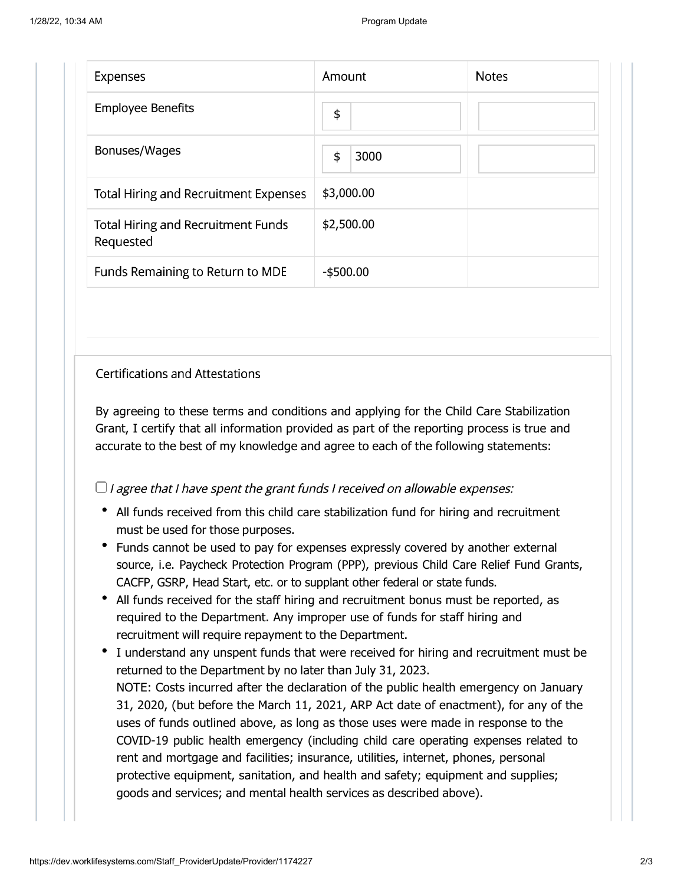| <b>Expenses</b>                                        | Amount       | <b>Notes</b> |
|--------------------------------------------------------|--------------|--------------|
| <b>Employee Benefits</b>                               | \$           |              |
| Bonuses/Wages                                          | \$<br>3000   |              |
| <b>Total Hiring and Recruitment Expenses</b>           | \$3,000.00   |              |
| <b>Total Hiring and Recruitment Funds</b><br>Requested | \$2,500.00   |              |
| Funds Remaining to Return to MDE                       | $-$ \$500.00 |              |

## **Certifications and Attestations**

By agreeing to these terms and conditions and applying for the Child Care Stabilization Grant, I certify that all information provided as part of the reporting process is true and accurate to the best of my knowledge and agree to each of the following statements:

 $\Box$  I agree that I have spent the grant funds I received on allowable expenses:

- All funds received from this child care stabilization fund for hiring and recruitment must be used for those purposes.
- Funds cannot be used to pay for expenses expressly covered by another external source, i.e. Paycheck Protection Program (PPP), previous Child Care Relief Fund Grants, CACFP, GSRP, Head Start, etc. or to supplant other federal or state funds.
- All funds received for the staff hiring and recruitment bonus must be reported, as required to the Department. Any improper use of funds for staff hiring and recruitment will require repayment to the Department.
- I understand any unspent funds that were received for hiring and recruitment must be returned to the Department by no later than July 31, 2023. NOTE: Costs incurred after the declaration of the public health emergency on January 31, 2020, (but before the March 11, 2021, ARP Act date of enactment), for any of the uses of funds outlined above, as long as those uses were made in response to the COVID-19 public health emergency (including child care operating expenses related to rent and mortgage and facilities; insurance, utilities, internet, phones, personal protective equipment, sanitation, and health and safety; equipment and supplies; goods and services; and mental health services as described above).